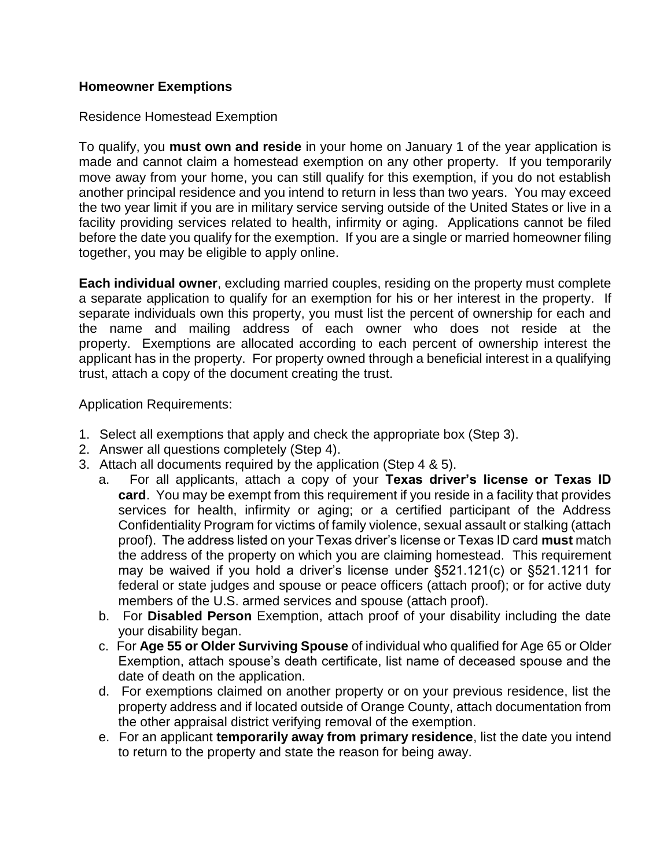## **Homeowner Exemptions**

### Residence Homestead Exemption

To qualify, you **must own and reside** in your home on January 1 of the year application is made and cannot claim a homestead exemption on any other property. If you temporarily move away from your home, you can still qualify for this exemption, if you do not establish another principal residence and you intend to return in less than two years. You may exceed the two year limit if you are in military service serving outside of the United States or live in a facility providing services related to health, infirmity or aging. Applications cannot be filed before the date you qualify for the exemption. If you are a single or married homeowner filing together, you may be eligible to apply online.

**Each individual owner**, excluding married couples, residing on the property must complete a separate application to qualify for an exemption for his or her interest in the property. If separate individuals own this property, you must list the percent of ownership for each and the name and mailing address of each owner who does not reside at the property. Exemptions are allocated according to each percent of ownership interest the applicant has in the property. For property owned through a beneficial interest in a qualifying trust, attach a copy of the document creating the trust.

Application Requirements:

- 1. Select all exemptions that apply and check the appropriate box (Step 3).
- 2. Answer all questions completely (Step 4).
- 3. Attach all documents required by the application (Step 4 & 5).
	- a. For all applicants, attach a copy of your **Texas driver's license or Texas ID card**. You may be exempt from this requirement if you reside in a facility that provides services for health, infirmity or aging; or a certified participant of the Address Confidentiality Program for victims of family violence, sexual assault or stalking (attach proof). The address listed on your Texas driver's license or Texas ID card **must** match the address of the property on which you are claiming homestead. This requirement may be waived if you hold a driver's license under §521.121(c) or §521.1211 for federal or state judges and spouse or peace officers (attach proof); or for active duty members of the U.S. armed services and spouse (attach proof).
	- b. For **Disabled Person** Exemption, attach proof of your disability including the date your disability began.
	- c. For **Age 55 or Older Surviving Spouse** of individual who qualified for Age 65 or Older Exemption, attach spouse's death certificate, list name of deceased spouse and the date of death on the application.
	- d. For exemptions claimed on another property or on your previous residence, list the property address and if located outside of Orange County, attach documentation from the other appraisal district verifying removal of the exemption.
	- e. For an applicant **temporarily away from primary residence**, list the date you intend to return to the property and state the reason for being away.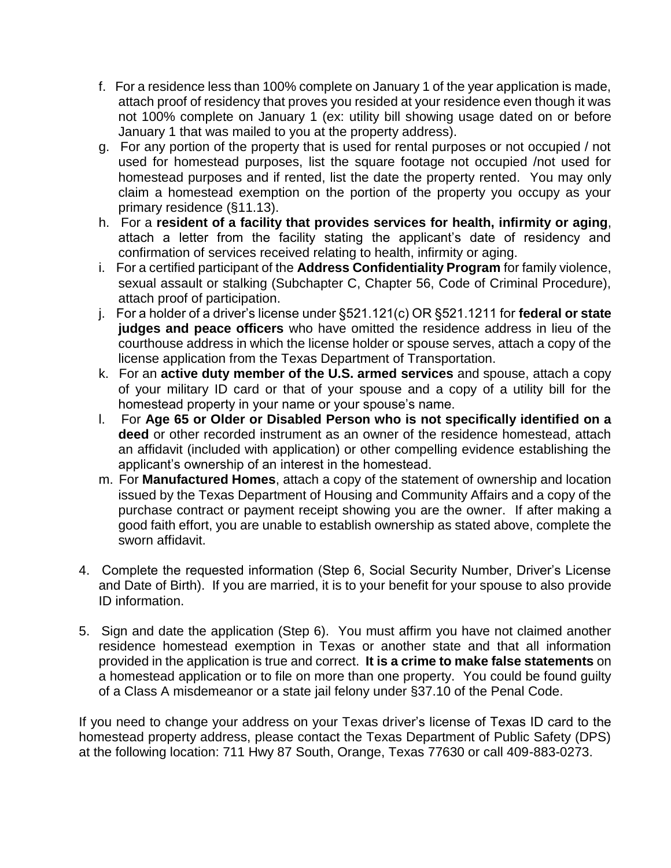- f. For a residence less than 100% complete on January 1 of the year application is made, attach proof of residency that proves you resided at your residence even though it was not 100% complete on January 1 (ex: utility bill showing usage dated on or before January 1 that was mailed to you at the property address).
- g. For any portion of the property that is used for rental purposes or not occupied / not used for homestead purposes, list the square footage not occupied /not used for homestead purposes and if rented, list the date the property rented. You may only claim a homestead exemption on the portion of the property you occupy as your primary residence (§11.13).
- h. For a **resident of a facility that provides services for health, infirmity or aging**, attach a letter from the facility stating the applicant's date of residency and confirmation of services received relating to health, infirmity or aging.
- i. For a certified participant of the **Address Confidentiality Program** for family violence, sexual assault or stalking (Subchapter C, Chapter 56, Code of Criminal Procedure), attach proof of participation.
- j. For a holder of a driver's license under §521.121(c) OR §521.1211 for **federal or state judges and peace officers** who have omitted the residence address in lieu of the courthouse address in which the license holder or spouse serves, attach a copy of the license application from the Texas Department of Transportation.
- k. For an **active duty member of the U.S. armed services** and spouse, attach a copy of your military ID card or that of your spouse and a copy of a utility bill for the homestead property in your name or your spouse's name.
- l. For **Age 65 or Older or Disabled Person who is not specifically identified on a deed** or other recorded instrument as an owner of the residence homestead, attach an affidavit (included with application) or other compelling evidence establishing the applicant's ownership of an interest in the homestead.
- m. For **Manufactured Homes**, attach a copy of the statement of ownership and location issued by the Texas Department of Housing and Community Affairs and a copy of the purchase contract or payment receipt showing you are the owner. If after making a good faith effort, you are unable to establish ownership as stated above, complete the sworn affidavit.
- 4. Complete the requested information (Step 6, Social Security Number, Driver's License and Date of Birth). If you are married, it is to your benefit for your spouse to also provide ID information.
- 5. Sign and date the application (Step 6). You must affirm you have not claimed another residence homestead exemption in Texas or another state and that all information provided in the application is true and correct. **It is a crime to make false statements** on a homestead application or to file on more than one property. You could be found guilty of a Class A misdemeanor or a state jail felony under §37.10 of the Penal Code.

If you need to change your address on your Texas driver's license of Texas ID card to the homestead property address, please contact the Texas Department of Public Safety (DPS) at the following location: 711 Hwy 87 South, Orange, Texas 77630 or call 409-883-0273.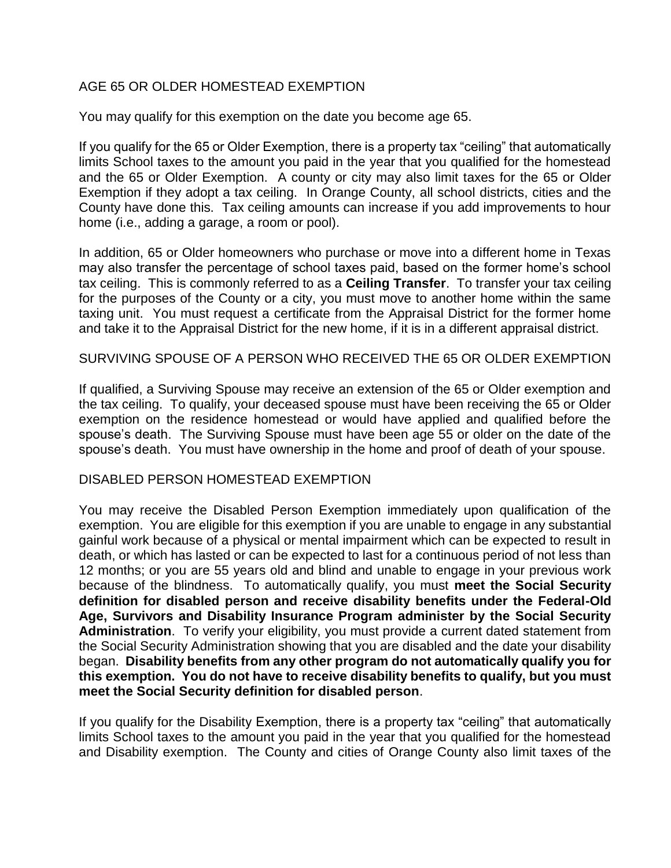### AGE 65 OR OLDER HOMESTEAD EXEMPTION

You may qualify for this exemption on the date you become age 65.

If you qualify for the 65 or Older Exemption, there is a property tax "ceiling" that automatically limits School taxes to the amount you paid in the year that you qualified for the homestead and the 65 or Older Exemption. A county or city may also limit taxes for the 65 or Older Exemption if they adopt a tax ceiling. In Orange County, all school districts, cities and the County have done this. Tax ceiling amounts can increase if you add improvements to hour home (i.e., adding a garage, a room or pool).

In addition, 65 or Older homeowners who purchase or move into a different home in Texas may also transfer the percentage of school taxes paid, based on the former home's school tax ceiling. This is commonly referred to as a **Ceiling Transfer**. To transfer your tax ceiling for the purposes of the County or a city, you must move to another home within the same taxing unit. You must request a certificate from the Appraisal District for the former home and take it to the Appraisal District for the new home, if it is in a different appraisal district.

SURVIVING SPOUSE OF A PERSON WHO RECEIVED THE 65 OR OLDER EXEMPTION

If qualified, a Surviving Spouse may receive an extension of the 65 or Older exemption and the tax ceiling. To qualify, your deceased spouse must have been receiving the 65 or Older exemption on the residence homestead or would have applied and qualified before the spouse's death. The Surviving Spouse must have been age 55 or older on the date of the spouse's death. You must have ownership in the home and proof of death of your spouse.

### DISABLED PERSON HOMESTEAD EXEMPTION

You may receive the Disabled Person Exemption immediately upon qualification of the exemption. You are eligible for this exemption if you are unable to engage in any substantial gainful work because of a physical or mental impairment which can be expected to result in death, or which has lasted or can be expected to last for a continuous period of not less than 12 months; or you are 55 years old and blind and unable to engage in your previous work because of the blindness. To automatically qualify, you must **meet the Social Security definition for disabled person and receive disability benefits under the Federal-Old Age, Survivors and Disability Insurance Program administer by the Social Security Administration**. To verify your eligibility, you must provide a current dated statement from the Social Security Administration showing that you are disabled and the date your disability began. **Disability benefits from any other program do not automatically qualify you for this exemption. You do not have to receive disability benefits to qualify, but you must meet the Social Security definition for disabled person**.

If you qualify for the Disability Exemption, there is a property tax "ceiling" that automatically limits School taxes to the amount you paid in the year that you qualified for the homestead and Disability exemption. The County and cities of Orange County also limit taxes of the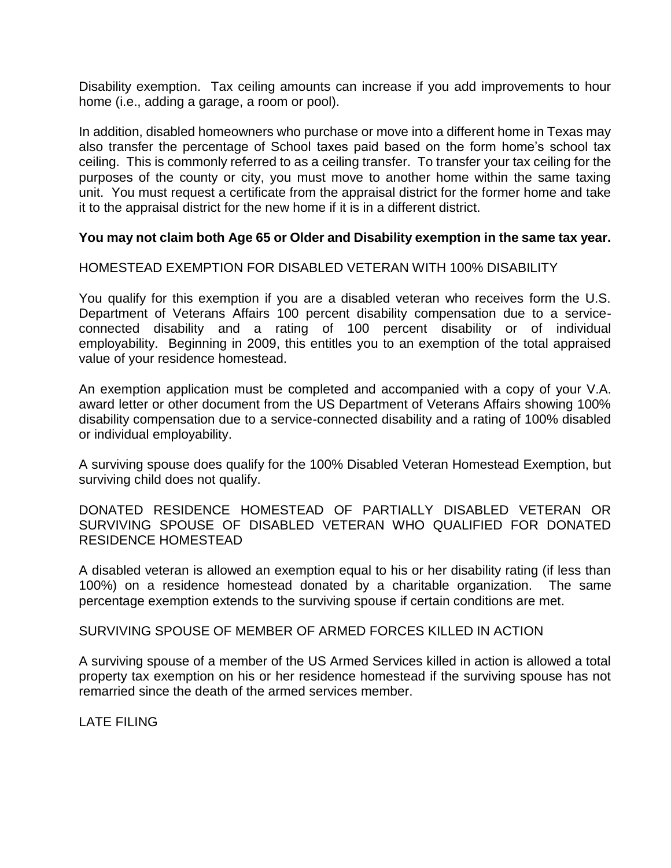Disability exemption. Tax ceiling amounts can increase if you add improvements to hour home (i.e., adding a garage, a room or pool).

In addition, disabled homeowners who purchase or move into a different home in Texas may also transfer the percentage of School taxes paid based on the form home's school tax ceiling. This is commonly referred to as a ceiling transfer. To transfer your tax ceiling for the purposes of the county or city, you must move to another home within the same taxing unit. You must request a certificate from the appraisal district for the former home and take it to the appraisal district for the new home if it is in a different district.

### **You may not claim both Age 65 or Older and Disability exemption in the same tax year.**

#### HOMESTEAD EXEMPTION FOR DISABLED VETERAN WITH 100% DISABILITY

You qualify for this exemption if you are a disabled veteran who receives form the U.S. Department of Veterans Affairs 100 percent disability compensation due to a serviceconnected disability and a rating of 100 percent disability or of individual employability. Beginning in 2009, this entitles you to an exemption of the total appraised value of your residence homestead.

An exemption application must be completed and accompanied with a copy of your V.A. award letter or other document from the US Department of Veterans Affairs showing 100% disability compensation due to a service-connected disability and a rating of 100% disabled or individual employability.

A surviving spouse does qualify for the 100% Disabled Veteran Homestead Exemption, but surviving child does not qualify.

DONATED RESIDENCE HOMESTEAD OF PARTIALLY DISABLED VETERAN OR SURVIVING SPOUSE OF DISABLED VETERAN WHO QUALIFIED FOR DONATED RESIDENCE HOMESTEAD

A disabled veteran is allowed an exemption equal to his or her disability rating (if less than 100%) on a residence homestead donated by a charitable organization. The same percentage exemption extends to the surviving spouse if certain conditions are met.

SURVIVING SPOUSE OF MEMBER OF ARMED FORCES KILLED IN ACTION

A surviving spouse of a member of the US Armed Services killed in action is allowed a total property tax exemption on his or her residence homestead if the surviving spouse has not remarried since the death of the armed services member.

LATE FILING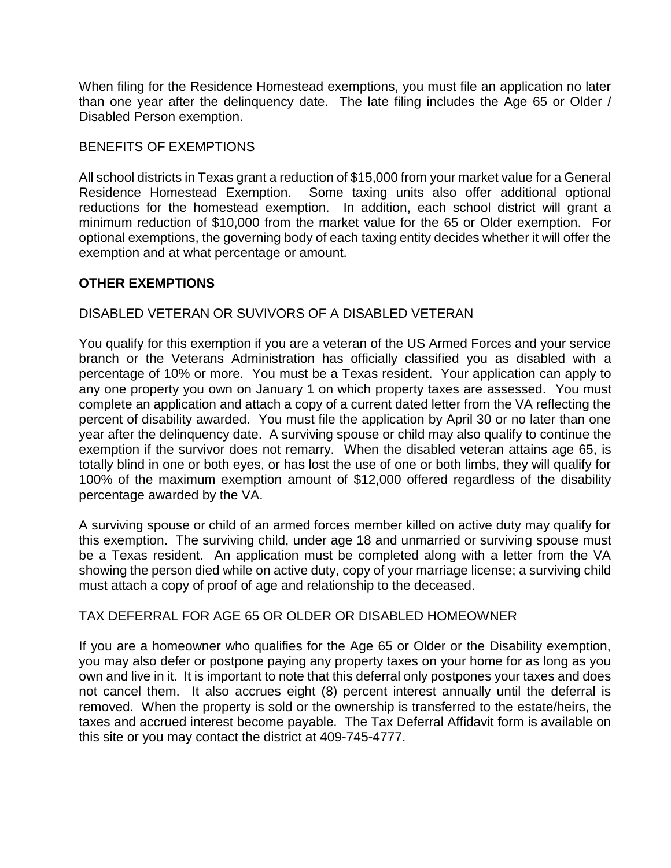When filing for the Residence Homestead exemptions, you must file an application no later than one year after the delinquency date. The late filing includes the Age 65 or Older / Disabled Person exemption.

## BENEFITS OF EXEMPTIONS

All school districts in Texas grant a reduction of \$15,000 from your market value for a General Residence Homestead Exemption. Some taxing units also offer additional optional reductions for the homestead exemption. In addition, each school district will grant a minimum reduction of \$10,000 from the market value for the 65 or Older exemption. For optional exemptions, the governing body of each taxing entity decides whether it will offer the exemption and at what percentage or amount.

# **OTHER EXEMPTIONS**

# DISABLED VETERAN OR SUVIVORS OF A DISABLED VETERAN

You qualify for this exemption if you are a veteran of the US Armed Forces and your service branch or the Veterans Administration has officially classified you as disabled with a percentage of 10% or more. You must be a Texas resident. Your application can apply to any one property you own on January 1 on which property taxes are assessed. You must complete an application and attach a copy of a current dated letter from the VA reflecting the percent of disability awarded. You must file the application by April 30 or no later than one year after the delinquency date. A surviving spouse or child may also qualify to continue the exemption if the survivor does not remarry. When the disabled veteran attains age 65, is totally blind in one or both eyes, or has lost the use of one or both limbs, they will qualify for 100% of the maximum exemption amount of \$12,000 offered regardless of the disability percentage awarded by the VA.

A surviving spouse or child of an armed forces member killed on active duty may qualify for this exemption. The surviving child, under age 18 and unmarried or surviving spouse must be a Texas resident. An application must be completed along with a letter from the VA showing the person died while on active duty, copy of your marriage license; a surviving child must attach a copy of proof of age and relationship to the deceased.

### TAX DEFERRAL FOR AGE 65 OR OLDER OR DISABLED HOMEOWNER

If you are a homeowner who qualifies for the Age 65 or Older or the Disability exemption, you may also defer or postpone paying any property taxes on your home for as long as you own and live in it. It is important to note that this deferral only postpones your taxes and does not cancel them. It also accrues eight (8) percent interest annually until the deferral is removed. When the property is sold or the ownership is transferred to the estate/heirs, the taxes and accrued interest become payable. The Tax Deferral Affidavit form is available on this site or you may contact the district at 409-745-4777.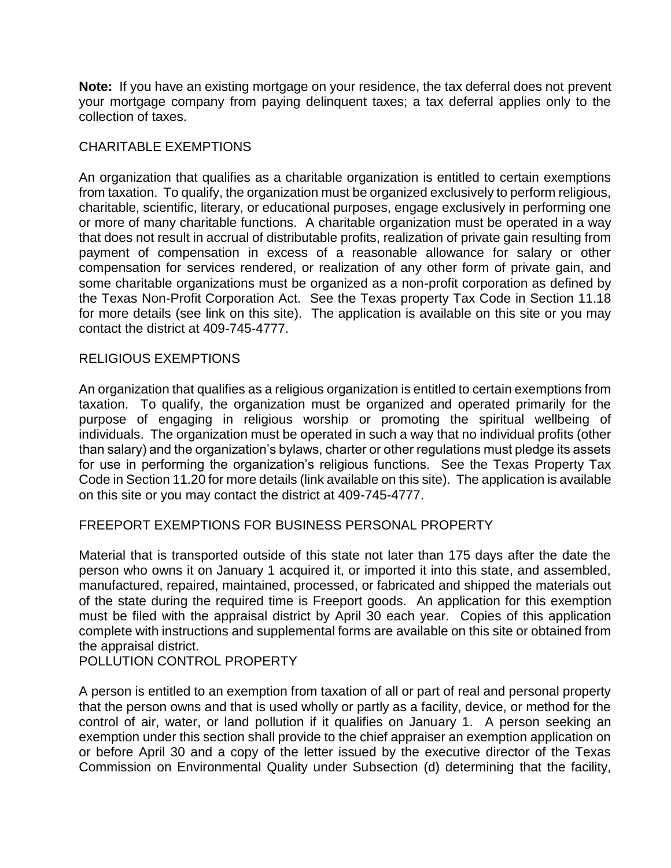**Note:** If you have an existing mortgage on your residence, the tax deferral does not prevent your mortgage company from paying delinquent taxes; a tax deferral applies only to the collection of taxes.

### CHARITABLE EXEMPTIONS

An organization that qualifies as a charitable organization is entitled to certain exemptions from taxation. To qualify, the organization must be organized exclusively to perform religious, charitable, scientific, literary, or educational purposes, engage exclusively in performing one or more of many charitable functions. A charitable organization must be operated in a way that does not result in accrual of distributable profits, realization of private gain resulting from payment of compensation in excess of a reasonable allowance for salary or other compensation for services rendered, or realization of any other form of private gain, and some charitable organizations must be organized as a non-profit corporation as defined by the Texas Non-Profit Corporation Act. See the Texas property Tax Code in Section 11.18 for more details (see link on this site). The application is available on this site or you may contact the district at 409-745-4777.

### RELIGIOUS EXEMPTIONS

An organization that qualifies as a religious organization is entitled to certain exemptions from taxation. To qualify, the organization must be organized and operated primarily for the purpose of engaging in religious worship or promoting the spiritual wellbeing of individuals. The organization must be operated in such a way that no individual profits (other than salary) and the organization's bylaws, charter or other regulations must pledge its assets for use in performing the organization's religious functions. See the Texas Property Tax Code in Section 11.20 for more details (link available on this site). The application is available on this site or you may contact the district at 409-745-4777.

### FREEPORT EXEMPTIONS FOR BUSINESS PERSONAL PROPERTY

Material that is transported outside of this state not later than 175 days after the date the person who owns it on January 1 acquired it, or imported it into this state, and assembled, manufactured, repaired, maintained, processed, or fabricated and shipped the materials out of the state during the required time is Freeport goods. An application for this exemption must be filed with the appraisal district by April 30 each year. Copies of this application complete with instructions and supplemental forms are available on this site or obtained from the appraisal district.

POLLUTION CONTROL PROPERTY

A person is entitled to an exemption from taxation of all or part of real and personal property that the person owns and that is used wholly or partly as a facility, device, or method for the control of air, water, or land pollution if it qualifies on January 1. A person seeking an exemption under this section shall provide to the chief appraiser an exemption application on or before April 30 and a copy of the letter issued by the executive director of the Texas Commission on Environmental Quality under Subsection (d) determining that the facility,